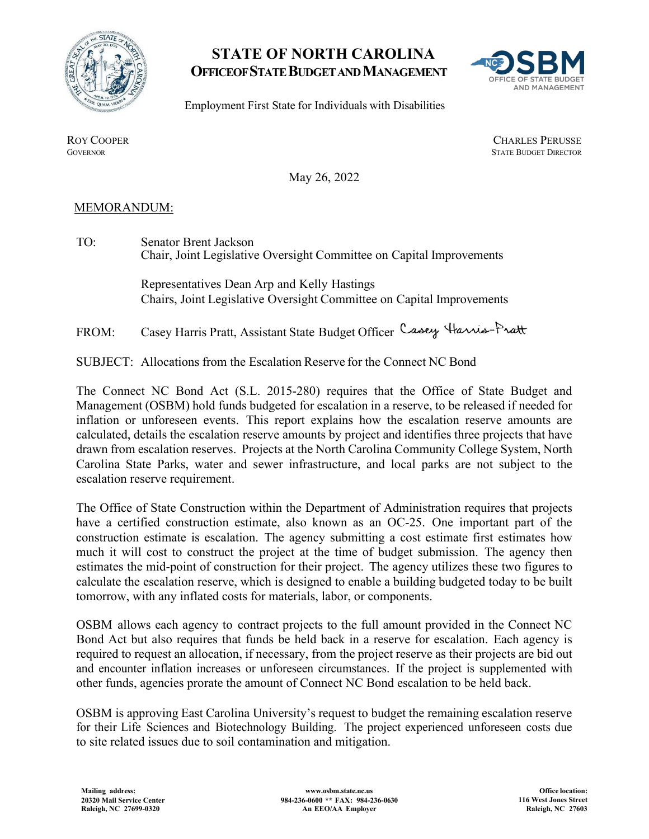

## **STATE OF NORTH CAROLINA OFFICEOF STATE BUDGET AND MANAGEMENT**



Employment First State for Individuals with Disabilities

ROY COOPER<br>Governor **STATE BUDGET DIRECTOR** 

May 26, 2022

## MEMORANDUM:

TO: Senator Brent Jackson Chair, Joint Legislative Oversight Committee on Capital Improvements

> Representatives Dean Arp and Kelly Hastings Chairs, Joint Legislative Oversight Committee on Capital Improvements

FROM: Casey Harris Pratt, Assistant State Budget Officer

SUBJECT: Allocations from the Escalation Reserve for the Connect NC Bond

The Connect NC Bond Act (S.L. 2015-280) requires that the Office of State Budget and Management (OSBM) hold funds budgeted for escalation in a reserve, to be released if needed for inflation or unforeseen events. This report explains how the escalation reserve amounts are calculated, details the escalation reserve amounts by project and identifies three projects that have drawn from escalation reserves. Projects at the North Carolina Community College System, North Carolina State Parks, water and sewer infrastructure, and local parks are not subject to the escalation reserve requirement.

The Office of State Construction within the Department of Administration requires that projects have a certified construction estimate, also known as an OC-25. One important part of the construction estimate is escalation. The agency submitting a cost estimate first estimates how much it will cost to construct the project at the time of budget submission. The agency then estimates the mid-point of construction for their project. The agency utilizes these two figures to calculate the escalation reserve, which is designed to enable a building budgeted today to be built tomorrow, with any inflated costs for materials, labor, or components.

OSBM allows each agency to contract projects to the full amount provided in the Connect NC Bond Act but also requires that funds be held back in a reserve for escalation. Each agency is required to request an allocation, if necessary, from the project reserve as their projects are bid out and encounter inflation increases or unforeseen circumstances. If the project is supplemented with other funds, agencies prorate the amount of Connect NC Bond escalation to be held back.

OSBM is approving East Carolina University's request to budget the remaining escalation reserve for their Life Sciences and Biotechnology Building. The project experienced unforeseen costs due to site related issues due to soil contamination and mitigation.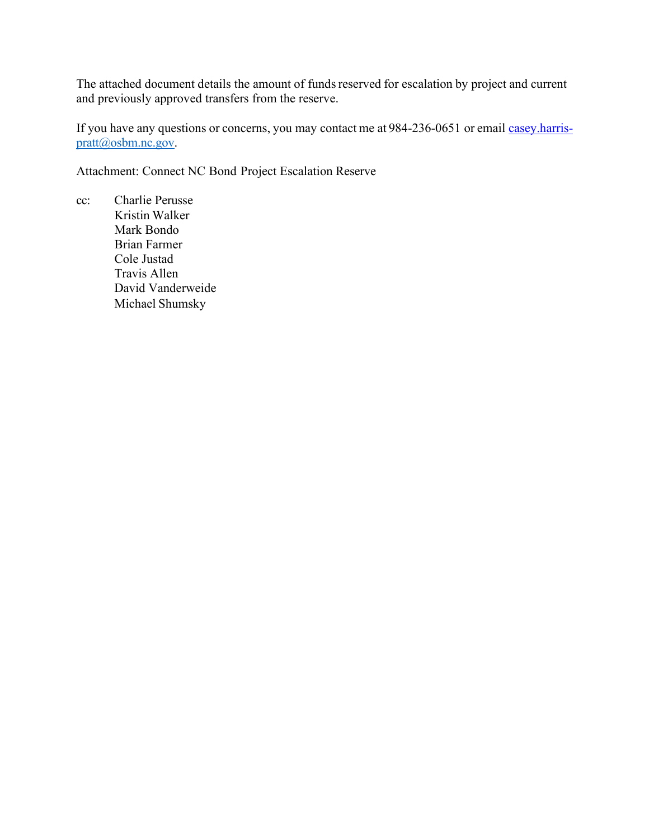The attached document details the amount of funds reserved for escalation by project and current and previously approved transfers from the reserve.

If you have any questions or concerns, you may contact me at 984-236-0651 or email [casey.harris](mailto:casey.harris-)[pratt@osbm.nc.gov.](mailto:casey.harris-pratt@osbm.nc.gov)

Attachment: Connect NC Bond Project Escalation Reserve

cc: Charlie Perusse Kristin Walker Mark Bondo Brian Farmer Cole Justad Travis Allen David Vanderweide Michael Shumsky